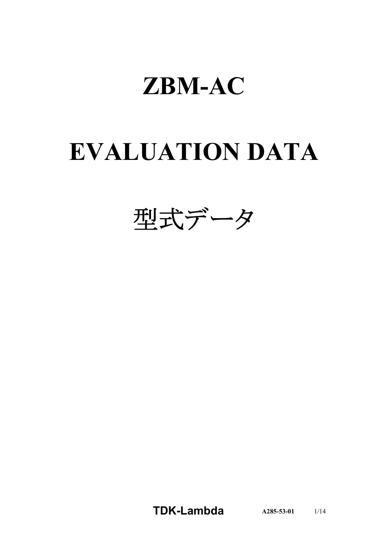# **EVALUATION DATA**



**TDK-Lambda A285-53-01** 1/14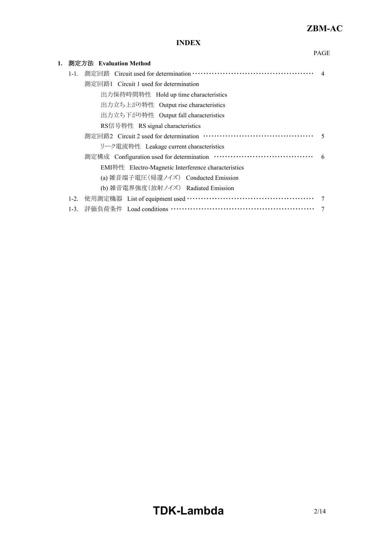PAGE

### **INDEX**

| 1. |           | 測定方法 Evaluation Method                                   |                |
|----|-----------|----------------------------------------------------------|----------------|
|    | $1 - 1$ . |                                                          | $\overline{4}$ |
|    |           | 測定回路1 Circuit 1 used for determination                   |                |
|    |           | 出力保持時間特性 Hold up time characteristics                    |                |
|    |           | 出力立ち上がり特性 Output rise characteristics                    |                |
|    |           | 出力立ち下がり特性 Output fall characteristics                    |                |
|    |           | RS信号特性 RS signal characteristics                         |                |
|    |           |                                                          | -5             |
|    |           | リーク電流特性 Leakage current characteristics                  |                |
|    |           | 測定構成 Configuration used for determination …………………………………… | 6              |
|    |           | EMI特性 Electro-Magnetic Interference characteristics      |                |
|    |           | (a) 雑音端子電圧(帰還ノイズ) Conducted Emission                     |                |
|    |           | (b) 雑音電界強度(放射ノイズ) Radiated Emission                      |                |
|    | $1-2.$    | 使用測定機器 List of equipment used …………………………………………………        | -7             |
|    | $1-3.$    | 評価負荷条件 Load conditions ……………………………………………………              |                |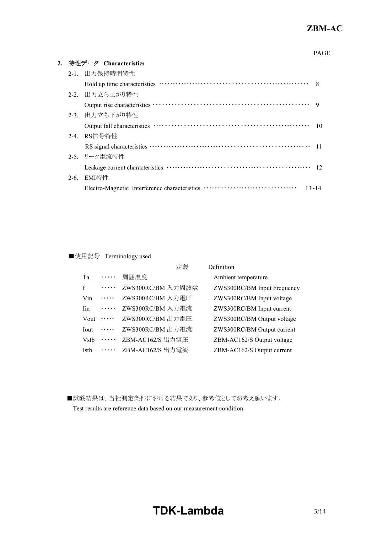#### PAGE

| 2. 特性データ Characteristics |                                                            |                 |  |
|--------------------------|------------------------------------------------------------|-----------------|--|
|                          | 2-1. 出力保持時間特性                                              |                 |  |
|                          |                                                            | 8               |  |
|                          | 2-2. 出力立ち上がり特性                                             |                 |  |
|                          |                                                            | $\overline{Q}$  |  |
|                          | 2-3. 出力立ち下がり特性                                             |                 |  |
|                          |                                                            | 10              |  |
|                          | 2-4. RS信号特性                                                |                 |  |
|                          |                                                            | 11              |  |
|                          | 2-5. リーク電流特性                                               |                 |  |
|                          |                                                            | $\overline{12}$ |  |
|                          | 2-6. EMI特性                                                 |                 |  |
|                          | Electro-Magnetic Interference characteristics<br>$13 - 14$ |                 |  |
|                          |                                                            |                 |  |

#### ■使用記号 Terminology used

|                          |   | 定義                | Definition                  |
|--------------------------|---|-------------------|-----------------------------|
| Ta                       | . | 周囲温度              | Ambient temperature         |
| $\mathbf{f}$             | . | ZWS300RC/BM 入力周波数 | ZWS300RC/BM Input Frequency |
| Vin                      | . | ZWS300RC/BM 入力電圧  | ZWS300RC/BM Input voltage   |
| <b>Tin</b>               | . | ZWS300RC/BM 入力電流  | ZWS300RC/BM Input current   |
| Vout                     | . | ZWS300RC/BM 出力電圧  | ZWS300RC/BM Output voltage  |
| <b>Tout</b>              | . | ZWS300RC/BM 出力電流  | ZWS300RC/BM Output current  |
| <b>V</b> st <sub>b</sub> | . | ZBM-AC162/S 出力電圧  | ZBM-AC162/S Output voltage  |
| Istb                     | . | ZBM-AC162/S 出力電流  | ZBM-AC162/S Output current  |

■試験結果は、当社測定条件における結果であり、参考値としてお考え願います。 Test results are reference data based on our measurement condition.

# **TDK-Lambda**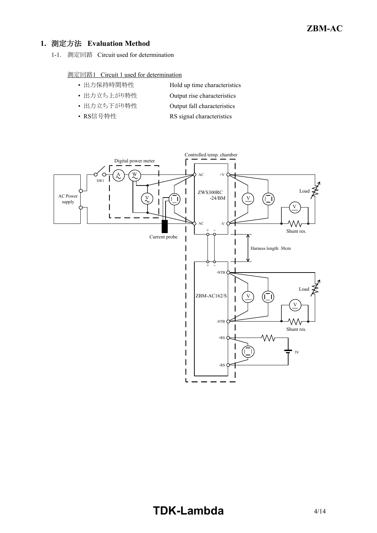#### **1.** 測定方法 **Evaluation Method**

1-1. 測定回路 Circuit used for determination

#### 測定回路1 Circuit 1 used for determination

• 出力保持時間特性 Hold up time characteristics

# • 出力立ち上がり特性 Output rise characteristics

- 出力立ち下がり特性 Output fall characteristics
- RS信号特性 RS signal characteristics

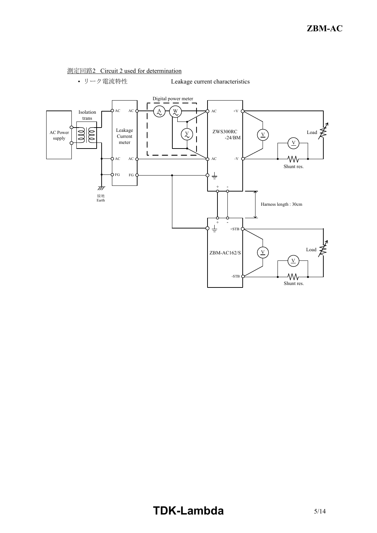#### 測定回路2 Circuit 2 used for determination



• リーク電流特性 Leakage current characteristics

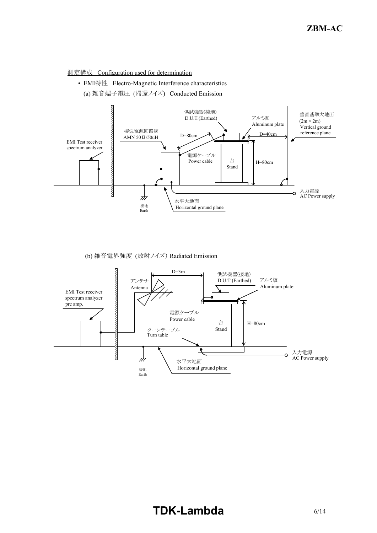

• EMI特性 Electro-Magnetic Interference characteristics





(b) 雑音電界強度 (放射ノイズ) Radiated Emission

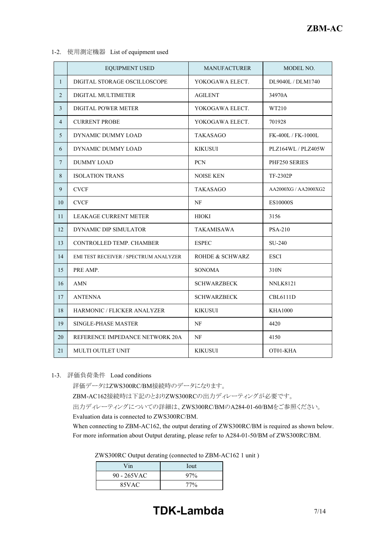1-2. 使用測定機器 List of equipment used

|                | <b>EQUIPMENT USED</b>                 | <b>MANUFACTURER</b> | MODEL NO.            |
|----------------|---------------------------------------|---------------------|----------------------|
| $\mathbf{1}$   | DIGITAL STORAGE OSCILLOSCOPE          | YOKOGAWA ELECT.     | DL9040L / DLM1740    |
| $\overline{2}$ | DIGITAL MULTIMETER                    | <b>AGILENT</b>      | 34970A               |
| 3              | DIGITAL POWER METER                   | YOKOGAWA ELECT.     | WT210                |
| $\overline{4}$ | <b>CURRENT PROBE</b>                  | YOKOGAWA ELECT.     | 701928               |
| 5              | DYNAMIC DUMMY LOAD                    | TAKASAGO            | FK-400L / FK-1000L   |
| 6              | DYNAMIC DUMMY LOAD                    | <b>KIKUSUI</b>      | PLZ164WL / PLZ405W   |
| $\tau$         | <b>DUMMY LOAD</b>                     | <b>PCN</b>          | PHF250 SERIES        |
| 8              | <b>ISOLATION TRANS</b>                | NOISE KEN           | TF-2302P             |
| 9              | <b>CVCF</b>                           | TAKASAGO            | AA2000XG / AA2000XG2 |
| 10             | <b>CVCF</b>                           | NF                  | ES10000S             |
| 11             | <b>LEAKAGE CURRENT METER</b>          | HIOKI               | 3156                 |
| 12             | DYNAMIC DIP SIMULATOR                 | <b>TAKAMISAWA</b>   | <b>PSA-210</b>       |
| 13             | CONTROLLED TEMP. CHAMBER              | <b>ESPEC</b>        | SU-240               |
| 14             | EMI TEST RECEIVER / SPECTRUM ANALYZER | ROHDE & SCHWARZ     | <b>ESCI</b>          |
| 15             | PRE AMP.                              | <b>SONOMA</b>       | 310N                 |
| 16             | <b>AMN</b>                            | <b>SCHWARZBECK</b>  | <b>NNLK8121</b>      |
| 17             | <b>ANTENNA</b>                        | <b>SCHWARZBECK</b>  | <b>CBL6111D</b>      |
| 18             | <b>HARMONIC / FLICKER ANALYZER</b>    | <b>KIKUSUI</b>      | <b>KHA1000</b>       |
| 19             | <b>SINGLE-PHASE MASTER</b>            | NF                  | 4420                 |
| 20             | REFERENCE IMPEDANCE NETWORK 20A       | NF                  | 4150                 |
| 21             | MULTI OUTLET UNIT                     | KIKUSUI             | OT01-KHA             |

1-3. 評価負荷条件 Load conditions

評価データはZWS300RC/BM接続時のデータになります。 ZBM-AC162接続時は下記のとおりZWS300RCの出力ディレーティングが必要です。 出力ディレーティングについての詳細は、ZWS300RC/BMのA284-01-60/BMをご参照ください。 Evaluation data is connected to ZWS300RC/BM.

When connecting to ZBM-AC162, the output derating of ZWS300RC/BM is required as shown below. For more information about Output derating, please refer to A284-01-50/BM of ZWS300RC/BM.

| ZWS300RC Output derating (connected to ZBM-AC162 1 unit) |  |
|----------------------------------------------------------|--|
|----------------------------------------------------------|--|

| Vin            | Iout |
|----------------|------|
| $90 - 265$ VAC | 97%  |
| 85VAC          | 77%  |

### **TDK-Lambda** 7/14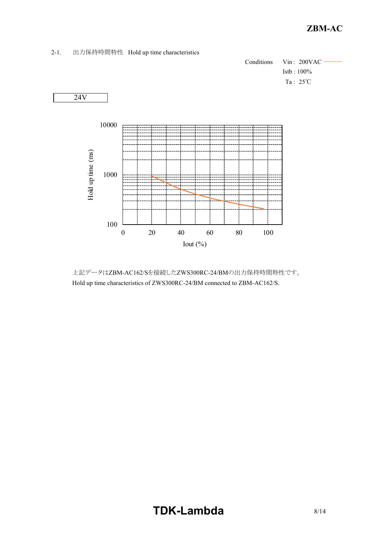2-1. 出力保持時間特性 Hold up time characteristics





 上記データはZBM-AC162/Sを接続したZWS300RC-24/BMの出力保持時間特性です。 Hold up time characteristics of ZWS300RC-24/BM connected to ZBM-AC162/S.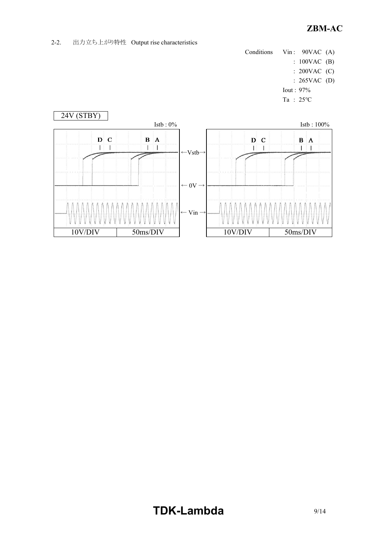2-2. 出力立ち上がり特性 Output rise characteristics

- Conditions Vin : 90VAC (A)
	- : 100VAC (B)
	- : 200VAC (C)
	- : 265VAC (D)
	- Iout : 97%
	- Ta : 25℃



# **TDK-Lambda** 9/14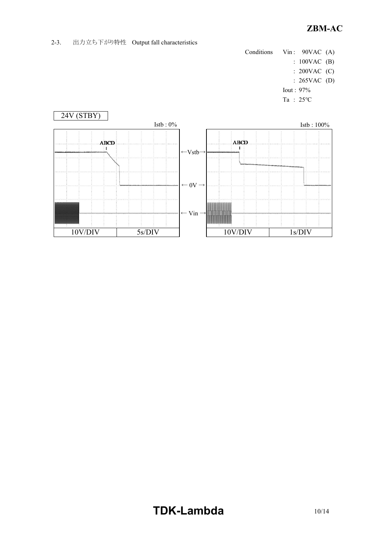2-3. 出力立ち下がり特性 Output fall characteristics

- Conditions Vin : 90VAC (A)
	- : 100VAC (B)
	- : 200VAC (C)
	- : 265VAC (D)
	- Iout : 97%
	- Ta : 25℃



## **TDK-Lambda**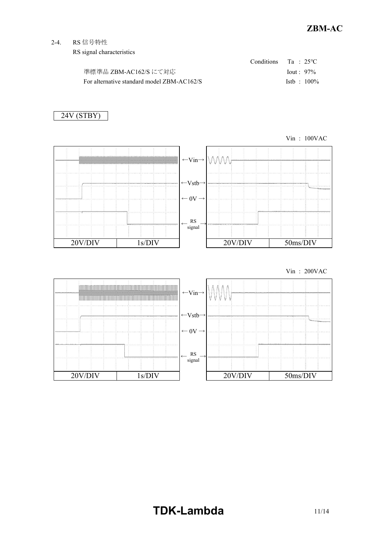2-4. RS 信号特性

RS signal characteristics

|                                            | Conditions Ta : $25^{\circ}$ C |
|--------------------------------------------|--------------------------------|
| 準標準品 ZBM-AC162/S にて対応                      | $I$ out : 97%                  |
| For alternative standard model ZBM-AC162/S | $1stb : 100\%$                 |

### 24V (STBY)



Vin : 200VAC

| <u> a grand gan a gcomhan an gcomhan an gcomhan an gcomhan an gcomhan an gcomhan an gcomhan an gcomhan an gcomhan </u> | <u> 1960 - Johann Barn, martin amerikan ba</u> | $\leftarrow$ Vin $\rightarrow$  |         |          |
|------------------------------------------------------------------------------------------------------------------------|------------------------------------------------|---------------------------------|---------|----------|
|                                                                                                                        |                                                | $\leftarrow$ Vstb $\rightarrow$ |         |          |
|                                                                                                                        |                                                | $\leftarrow 0V \rightarrow$     |         |          |
|                                                                                                                        |                                                | RS<br>signal                    |         |          |
| 20V/DIV                                                                                                                | 1s/DIV                                         |                                 | 20V/DIV | 50ms/DIV |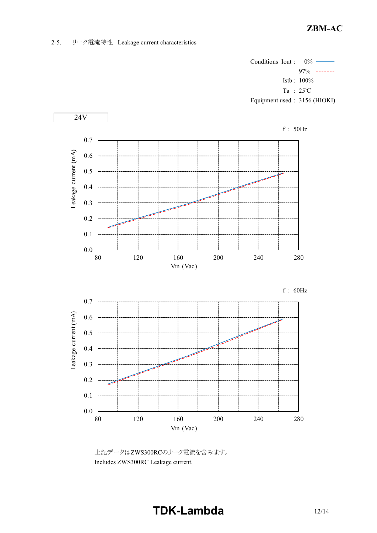#### 2-5. リーク電流特性 Leakage current characteristics



上記データはZWS300RCのリーク電流を含みます。 Includes ZWS300RC Leakage current.

## **TDK-Lambda** 12/14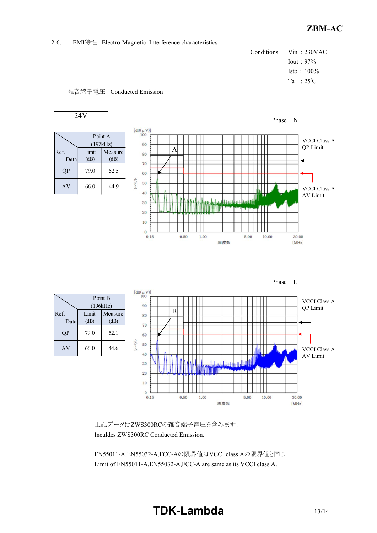#### 2-6. EMI特性 Electro-Magnetic Interference characteristics

```
Conditions Vin : 230VAC
Iout : 97%
Istb : 100%
Ta : 25℃
```






上記データはZWS300RCの雑音端子電圧を含みます。 Inculdes ZWS300RC Conducted Emission.

EN55011-A,EN55032-A,FCC-Aの限界値はVCCI class Aの限界値と同じ Limit of EN55011-A,EN55032-A,FCC-A are same as its VCCI class A.

### **TDK-Lambda**